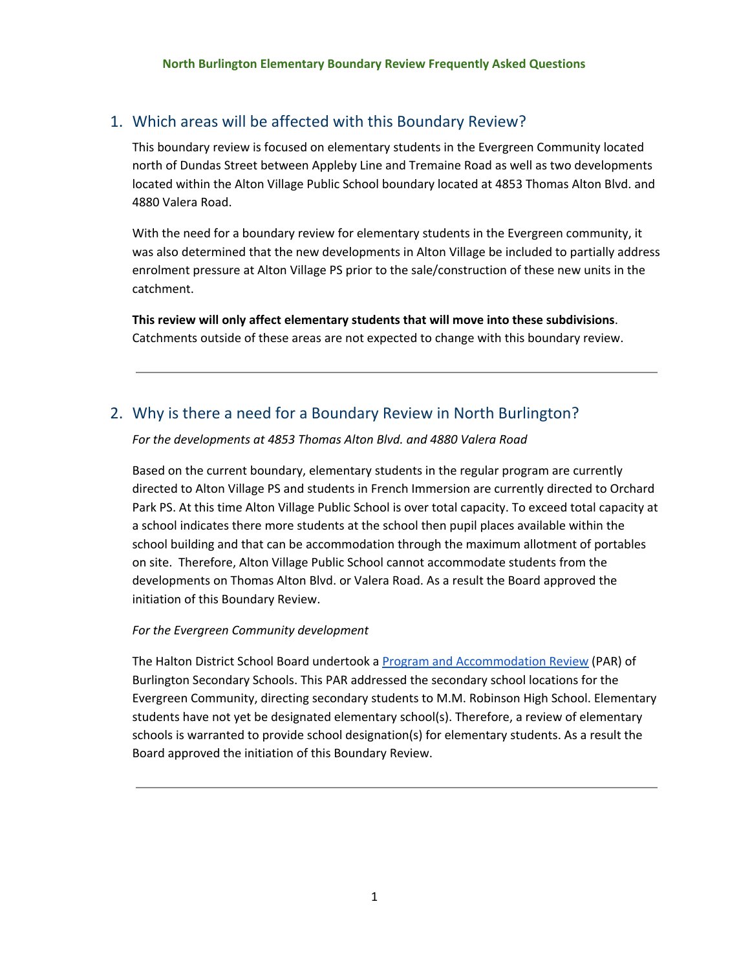#### 1. Which areas will be affected with this Boundary Review?

This boundary review is focused on elementary students in the Evergreen Community located north of Dundas Street between Appleby Line and Tremaine Road as well as two developments located within the Alton Village Public School boundary located at 4853 Thomas Alton Blvd. and 4880 Valera Road.

With the need for a boundary review for elementary students in the Evergreen community, it was also determined that the new developments in Alton Village be included to partially address enrolment pressure at Alton Village PS prior to the sale/construction of these new units in the catchment.

**This review will only affect elementary students that will move into these subdivisions**. Catchments outside of these areas are not expected to change with this boundary review.

### 2. Why is there a need for a Boundary Review in North Burlington?

*For the developments at 4853 Thomas Alton Blvd. and 4880 Valera Road*

Based on the current boundary, elementary students in the regular program are currently directed to Alton Village PS and students in French Immersion are currently directed to Orchard Park PS. At this time Alton Village Public School is over total capacity. To exceed total capacity at a school indicates there more students at the school then pupil places available within the school building and that can be accommodation through the maximum allotment of portables on site. Therefore, Alton Village Public School cannot accommodate students from the developments on Thomas Alton Blvd. or Valera Road. As a result the Board approved the initiation of this Boundary Review.

#### *For the Evergreen Community development*

The Halton District School Board undertook a Program and [Accommodation](https://www.hdsb.ca/schools/Pages/Program%20Accommodation%20Studies/2016-Burlington-Secondary-PAR.aspx) Review (PAR) of Burlington Secondary Schools. This PAR addressed the secondary school locations for the Evergreen Community, directing secondary students to M.M. Robinson High School. Elementary students have not yet be designated elementary school(s). Therefore, a review of elementary schools is warranted to provide school designation(s) for elementary students. As a result the Board approved the initiation of this Boundary Review.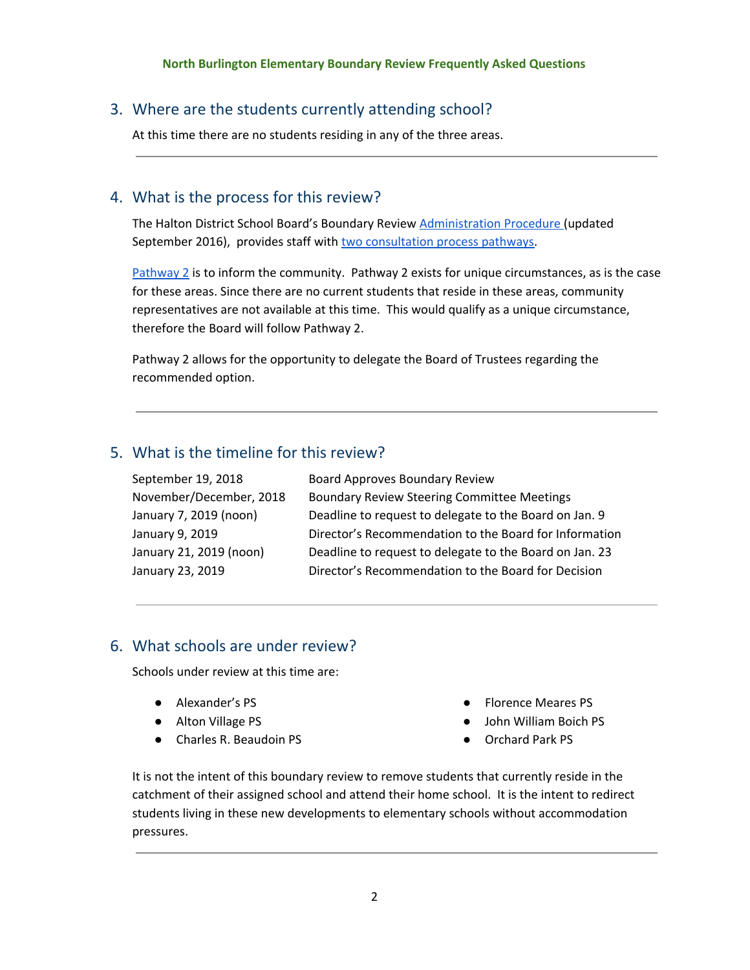# 3. Where are the students currently attending school?

At this time there are no students residing in any of the three areas.

# 4. What is the process for this review?

The Halton District School Board's Boundary Review [Administration](https://www.hdsb.ca/our-board/Policy/BoundaryReviewsSchools.pdf) Procedure (updated September 2016), provides staff with two [consultation](https://www.hdsb.ca/schools/School%20Boundary%20Reviews/2016%20Burlington%20510-0303Subd/BoundaryReviewFlowchart.pdf) process pathways.

 $Pathway 2$  $Pathway 2$  is to inform the community. Pathway 2 exists for unique circumstances, as is the case for these areas. Since there are no current students that reside in these areas, community representatives are not available at this time. This would qualify as a unique circumstance, therefore the Board will follow Pathway 2.

Pathway 2 allows for the opportunity to delegate the Board of Trustees regarding the recommended option.

# 5. What is the timeline for this review?

| September 19, 2018      | Board Approves Boundary Review                          |
|-------------------------|---------------------------------------------------------|
| November/December, 2018 | <b>Boundary Review Steering Committee Meetings</b>      |
| January 7, 2019 (noon)  | Deadline to request to delegate to the Board on Jan. 9  |
| January 9, 2019         | Director's Recommendation to the Board for Information  |
| January 21, 2019 (noon) | Deadline to request to delegate to the Board on Jan. 23 |
| January 23, 2019        | Director's Recommendation to the Board for Decision     |
|                         |                                                         |

### 6. What schools are under review?

Schools under review at this time are:

- Alexander's PS
- Alton Village PS
- Charles R. Beaudoin PS
- Florence Meares PS
- John William Boich PS
- Orchard Park PS

It is not the intent of this boundary review to remove students that currently reside in the catchment of their assigned school and attend their home school. It is the intent to redirect students living in these new developments to elementary schools without accommodation pressures.